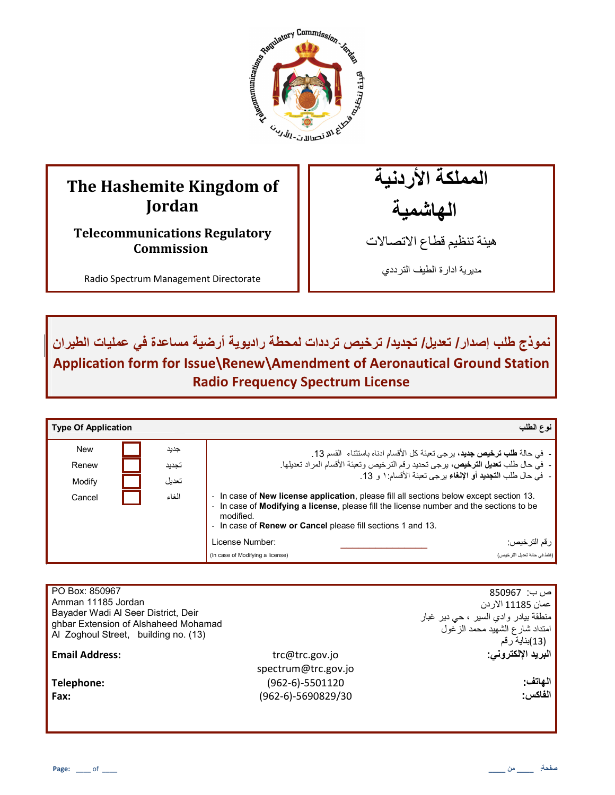

# **The Hashemite Kingdom of Jordan**

**Telecommunications Regulatory Commission**

Radio Spectrum Management Directorate

المملكة الأردنية الـهاشمية

هيئة تنظيم قطاع الاتصـالات

مديرية ادارة الطيف الترددي

نموذج طلب إصدار / تعديل/ تجديد/ ترخيص ترددات لمحطة راديوية أرضية مساعدة ف*ي* عمليات الطيران **Application form for Issue\Renew\Amendment of Aeronautical Ground Station Radio Frequency Spectrum License** 

| <b>Type Of Application</b> |       | نوع الطلب                                                                                                                                                                                                                                                                         |
|----------------------------|-------|-----------------------------------------------------------------------------------------------------------------------------------------------------------------------------------------------------------------------------------------------------------------------------------|
| <b>New</b>                 | جديد  | - في حالة <b>طلب ترخيص جديد</b> ، برجي تعبئة كل الأقسام ادناه باستثناء  القسم 13.                                                                                                                                                                                                 |
| Renew                      | تجديد | -  في حال طلب <b>تعديل الترخيص،</b> يرجى تحديد رقم الترخيص وتعبئة الأقسام المراد تعديلها.                                                                                                                                                                                         |
| Modify                     | تعدبل | -  في حال طلب ا <b>لتجديد</b> أو الإ <b>لغ</b> اء يرجى تعبئة الأقسام: ١ و 13.                                                                                                                                                                                                     |
| Cancel                     | الغاء | In case of <b>New license application</b> , please fill all sections below except section 13.<br>In case of <b>Modifying a license</b> , please fill the license number and the sections to be<br>modified.<br>- In case of <b>Renew or Cancel</b> please fill sections 1 and 13. |
|                            |       | License Number:<br>ر قم الترخيص:                                                                                                                                                                                                                                                  |
|                            |       | (فقط في حالة تحديل التر خيص)<br>(In case of Modifying a license)                                                                                                                                                                                                                  |

| PO Box: 850967<br>Amman 11185 Jordan<br>Bayader Wadi Al Seer District, Deir<br>ghbar Extension of Alshaheed Mohamad<br>Al Zoghoul Street, building no. (13) |                     | ص ب:  850967<br>عمان 11185 الاردن<br>منطقة بيادر وادي السير ، حي دير غبار<br>امتداد شارع الشهيد محمد الزغول<br>(13)بناية رقم |
|-------------------------------------------------------------------------------------------------------------------------------------------------------------|---------------------|------------------------------------------------------------------------------------------------------------------------------|
| <b>Email Address:</b>                                                                                                                                       | trc@trc.gov.jo      | البريد الإلكتروني:                                                                                                           |
|                                                                                                                                                             | spectrum@trc.gov.jo |                                                                                                                              |
| Telephone:                                                                                                                                                  | $(962-6)-5501120$   | الهاتف:                                                                                                                      |
| Fax:                                                                                                                                                        | (962-6)-5690829/30  | الفاكس:                                                                                                                      |
|                                                                                                                                                             |                     |                                                                                                                              |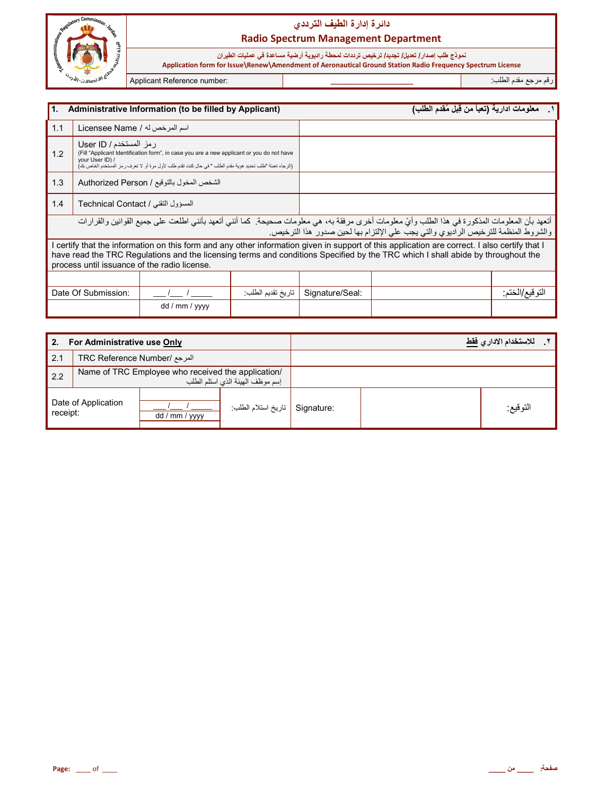

نموذج طلب إصدار/ تعديل/ تجديد/ ترخيص ترددات لمحطة راديوية أرضية مساعدة في عمليات الطيران<br>Application form for Issue\Renew\Amendment of Aeronautical Ground Station Radio Frequency Spectrum License

Applicant Reference number:

رقم مرجع مقدم الطلب:

| Administrative Information (to be filled by Applicant)<br>l1.                                                                                                                                                                                                                                                                    |                                    |                |                   |                 | معلومات ادارية (تعبأ من قِبل مُقدم الطلب)                                                                                                                                                                                            |                |
|----------------------------------------------------------------------------------------------------------------------------------------------------------------------------------------------------------------------------------------------------------------------------------------------------------------------------------|------------------------------------|----------------|-------------------|-----------------|--------------------------------------------------------------------------------------------------------------------------------------------------------------------------------------------------------------------------------------|----------------|
| 1.1                                                                                                                                                                                                                                                                                                                              | اسم المرخص له / Licensee Name      |                |                   |                 |                                                                                                                                                                                                                                      |                |
| رمز المستخدم / User ID<br>1.2<br>(Fill "Applicant Identification form", in case you are a new applicant or you do not have<br>vour User ID) /<br>(الرجاء تعبئة "طلب تحديد هوية مقدم الطلب " في حال كنت تقدم طلب لأول مرة أو لا تعرف رمز المستخدم الخاص بك)                                                                       |                                    |                |                   |                 |                                                                                                                                                                                                                                      |                |
| 1.3<br>الشخص المخول بالتوقيع / Authorized Person                                                                                                                                                                                                                                                                                 |                                    |                |                   |                 |                                                                                                                                                                                                                                      |                |
| 1.4                                                                                                                                                                                                                                                                                                                              | المسؤول التقنى / Technical Contact |                |                   |                 |                                                                                                                                                                                                                                      |                |
|                                                                                                                                                                                                                                                                                                                                  |                                    |                |                   |                 | أتعهد بأن المعلومات المذكورة في هذا الطلب وأيّ معلومات أخرى مرفقة به، هي معلومات صحيحة. كما أنني أتعهد بأنني اطلعت على جميع القوانين والقرارات<br>والشروط المنظمة للترخيص الراديوي والتي يجب على الإلتزام بها لحين صدور هذا الترخيص. |                |
| I certify that the information on this form and any other information given in support of this application are correct. I also certify that I<br>have read the TRC Regulations and the licensing terms and conditions Specified by the TRC which I shall abide by throughout the<br>process until issuance of the radio license. |                                    |                |                   |                 |                                                                                                                                                                                                                                      |                |
|                                                                                                                                                                                                                                                                                                                                  |                                    |                |                   |                 |                                                                                                                                                                                                                                      |                |
|                                                                                                                                                                                                                                                                                                                                  | Date Of Submission:                |                | تاريخ تقديم الطلب | Signature/Seal: |                                                                                                                                                                                                                                      | النوفيع/الخنم: |
|                                                                                                                                                                                                                                                                                                                                  |                                    | dd / mm / yyyy |                   |                 |                                                                                                                                                                                                                                      |                |

| 2.                              | For Administrative use Only                                                            |                |                                |  | للاستخدام الاداري فقط |
|---------------------------------|----------------------------------------------------------------------------------------|----------------|--------------------------------|--|-----------------------|
| 2.1                             | المرجع /TRC Reference Number                                                           |                |                                |  |                       |
| 2.2                             | Name of TRC Employee who received the application/<br>إسم موظف الهيئة الذي استلم الطلب |                |                                |  |                       |
| Date of Application<br>receipt: |                                                                                        | dd / mm / yyyy | Signature   تاريخ استلام الطلب |  | التوقيع:              |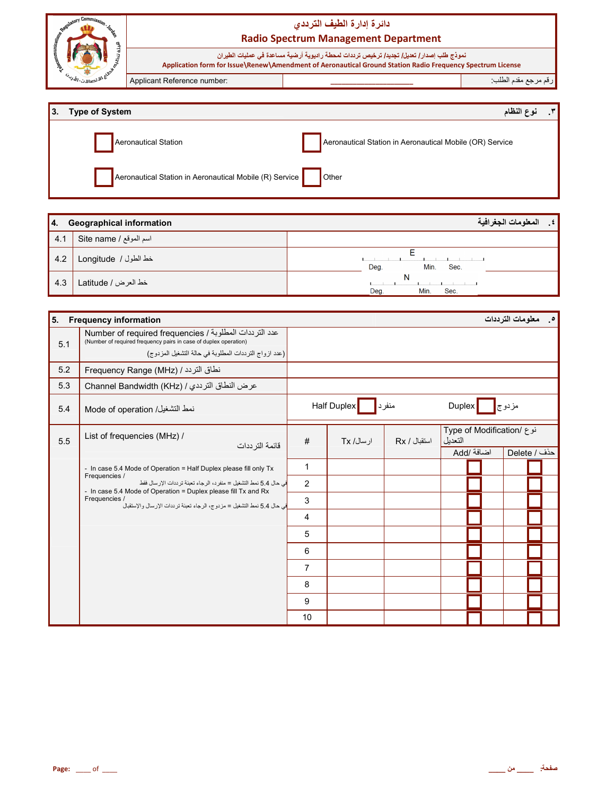

| 3. Type of System                                                       | $\cdot$ $\cdot$<br>فوع النظام                            |
|-------------------------------------------------------------------------|----------------------------------------------------------|
| Aeronautical Station                                                    | Aeronautical Station in Aeronautical Mobile (OR) Service |
| Aeronautical Station in Aeronautical Mobile (R) Service <b>CE</b> Other |                                                          |

| I 4. | <b>Geographical information</b> | المعلومات الجغرافية<br>∴≴ ' |
|------|---------------------------------|-----------------------------|
| 4.1  | اسم الموقع / Site name          |                             |
| 4.2  | خط الطول / Longitude            | Deg.<br>Min.<br>Sec.        |
| 4.3  | خط العرض / Latitude             | N<br>Deg.<br>Min.<br>Sec.   |

| 5.  | <b>Frequency information</b>                                                                                                                                                        |                |             |              |                                      | <b>0____معلومات الترددات</b> |
|-----|-------------------------------------------------------------------------------------------------------------------------------------------------------------------------------------|----------------|-------------|--------------|--------------------------------------|------------------------------|
| 5.1 | عدد الترددات المطلوبة / Number of required frequencies<br>(Number of required frequency pairs in case of duplex operation)<br>(عدد ازواج الترددات المطلوبة في حالة التشغيل المزدوج) |                |             |              |                                      |                              |
| 5.2 | Frequency Range (MHz) / نطاق التردد /                                                                                                                                               |                |             |              |                                      |                              |
| 5.3 | عرض النطاق الترددي / Channel Bandwidth (KHz)                                                                                                                                        |                |             |              |                                      |                              |
| 5.4 | نمط التشغيل/ Mode of operation                                                                                                                                                      |                | Half Duplex | منفرد        | <b>Duplex</b>                        | مزدوج∥                       |
| 5.5 | List of frequencies (MHz) /<br>قائمة التر ددات                                                                                                                                      | #              | ار سال/ Tx  | استقبال / Rx | نوع /Type of Modification<br>التعدبل |                              |
|     |                                                                                                                                                                                     |                |             |              | Add/ أضبافة                          | حذف / Delete                 |
|     | - In case 5.4 Mode of Operation = Half Duplex please fill only Tx                                                                                                                   | 1              |             |              |                                      |                              |
|     | Frequencies /<br>في حال 5.4 نمط التشغيل = منفر د، الر جاء تعبئة تر ددات الإر سال فقط<br>- In case 5.4 Mode of Operation = Duplex please fill Tx and Rx                              | $\overline{2}$ |             |              |                                      |                              |
|     | Frequencies /<br>في حال 5.4 نمط التشغيل = مز دو ج، الر جاء تعينة تر ددات الإر سال و الإستقبال                                                                                       | 3              |             |              |                                      |                              |
|     |                                                                                                                                                                                     | 4              |             |              |                                      |                              |
|     |                                                                                                                                                                                     | 5              |             |              |                                      |                              |
|     |                                                                                                                                                                                     | 6              |             |              |                                      |                              |
|     |                                                                                                                                                                                     | $\overline{7}$ |             |              |                                      |                              |
|     |                                                                                                                                                                                     | 8              |             |              |                                      |                              |
|     |                                                                                                                                                                                     | 9              |             |              |                                      |                              |
|     |                                                                                                                                                                                     | 10             |             |              |                                      |                              |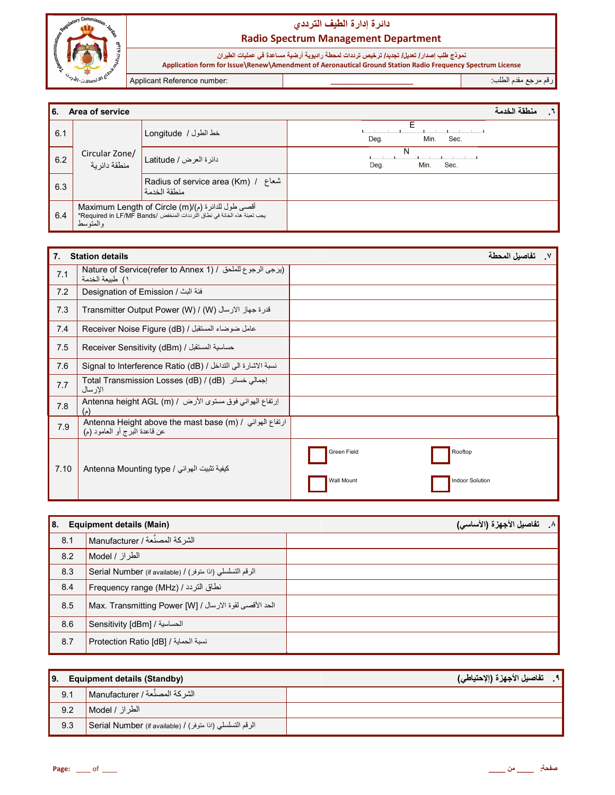

نموذج طلب إصدار/ تعديل/ تجديد/ ترخيص ترددات لمحطة راديوية أرضية مساعدة في عمليات الطيران<br>Application form for Issue\Renew\Amendment of Aeronautical Ground Station Radio Frequency Spectrum License

Applicant Reference number:

رقم مرجع مقدم الطلب:

| l 6. | منطقة الخدمة<br>Area of service                                                                                                           |                                                       |                           |  |  |
|------|-------------------------------------------------------------------------------------------------------------------------------------------|-------------------------------------------------------|---------------------------|--|--|
| 6.1  | Circular Zone/<br>منطقة دائر بة                                                                                                           | خط الطول / Longitude                                  | Deg.<br>Min.<br>Sec.      |  |  |
| 6.2  |                                                                                                                                           | دائرة العرض / Latitude                                | N<br>Deg.<br>Min.<br>Sec. |  |  |
| 6.3  |                                                                                                                                           | m Adius of service area (Km) / شعاع  <br>منطقة الخدمة |                           |  |  |
| 6.4  | أقصى طول للدائرة (م)/Maximum Length of Circle (m)<br>يجب تعبئة هذه الخانة في نطاق التر ددات المنخفض /Required in LF/MF Bands*<br>والمتوسط |                                                       |                           |  |  |

| 7 <sub>1</sub> | <b>Station details</b>                                                                                                        | تفاصبل المحطة                        |
|----------------|-------------------------------------------------------------------------------------------------------------------------------|--------------------------------------|
| 7.1            | Nature of Service(refer to Annex 1) / إيرجى الرجوع للملحق / Nature of Service(refer to Annex 1<br>١) طبيعة الخدمة             |                                      |
| 7.2            | فئة البث / Designation of Emission                                                                                            |                                      |
| 7.3            | Transmitter Output Power (W) / (W) آندرة جهاز الارسال                                                                         |                                      |
| 7.4            | عامل ضوضاء المستقبل / (Receiver Noise Figure (dB                                                                              |                                      |
| 7.5            | Receiver Sensitivity (dBm) / حساسية المستقبل                                                                                  |                                      |
| 7.6            | نسبة الاشارة الى التداخل / Signal to Interference Ratio (dB)                                                                  |                                      |
| 7.7            | Total Transmission Losses (dB) / (dB) إجمالي خسائر<br>الإر سال                                                                |                                      |
| 7.8            | إرتفاع الهوائي فوق مستوى الأرض / Antenna height AGL (m)<br>$(\epsilon)$                                                       |                                      |
| 7.9            | Antenna Height above the mast base (m) / ارتفاع الهوائي / Antenna Height above the mast base<br>عن قاعدة البرج أو العامود (م) |                                      |
| 7.10           | كيفية تثبيت الهوائي / Antenna Mounting type                                                                                   | Green Field<br>Rooftop               |
|                |                                                                                                                               | <b>Indoor Solution</b><br>Wall Mount |

| l 8. | <b>Equipment details (Main)</b>                           | تفاصيل الأجهزة (الأساسى)<br>$\Lambda$ |
|------|-----------------------------------------------------------|---------------------------------------|
| 8.1  | الشركة المصنِّعة / Manufacturer                           |                                       |
| 8.2  | الطراز / Model                                            |                                       |
| 8.3  | الرقم التسلسلي (اذا متوفر) / Serial Number (if available) |                                       |
| 8.4  | نطاق التردد / (MHz) Frequency range                       |                                       |
| 8.5  | الحد الأقصى لقوة الارسال / [Max. Transmitting Power [W]   |                                       |
| 8.6  | الحساسية / Sensitivity [dBm]                              |                                       |
| 8.7  | Erotection Ratio [dB] / نسبة الحماية /                    |                                       |

| <b>Equipment details (Standby)</b><br>9. |                                                             | ٩ . تفاصيل الأجهزة (الإحتياطي) |
|------------------------------------------|-------------------------------------------------------------|--------------------------------|
| 9.1                                      | الشركة المصنِّعة / Manufacturer                             |                                |
| 9.2                                      | الطر از / Model M                                           |                                |
| 9.3                                      | الرقم التسلسلي (اذا متوفر) / Serial Number (if available) / |                                |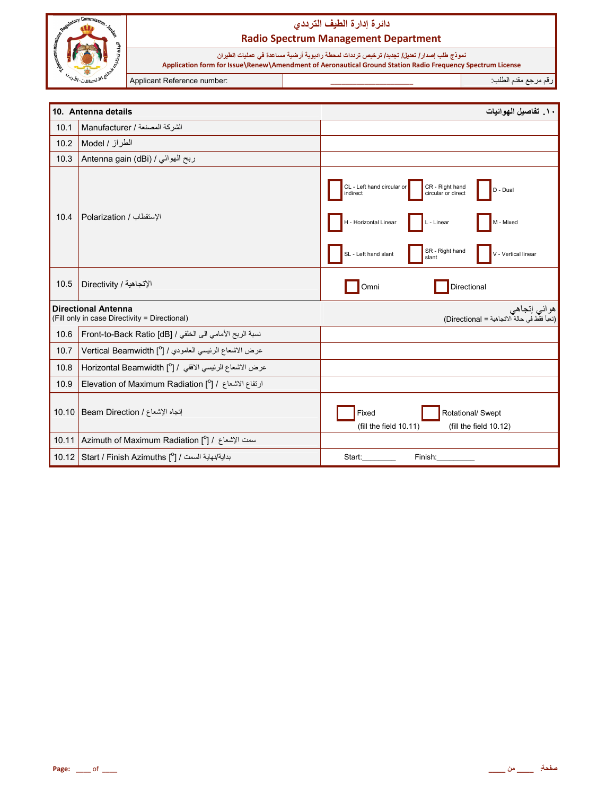

نموذج طلب إصدار/ تعديل/ تجديد/ ترخيص ترددات لمحطة راديوية أرضية مساعدة في عمليات الطيران<br>Application form for Issue\Renew\Amendment of Aeronautical Ground Station Radio Frequency Spectrum License

Applicant Reference number:

رقم مرجع مقدم الطلب:

|       | 10. Antenna details                                                         | ١٠. تفاصيل الهوائيات                                                                                                                                                                                                       |
|-------|-----------------------------------------------------------------------------|----------------------------------------------------------------------------------------------------------------------------------------------------------------------------------------------------------------------------|
| 10.1  | الشركة المصنعة / Manufacturer                                               |                                                                                                                                                                                                                            |
| 10.2  | الطراز / Model                                                              |                                                                                                                                                                                                                            |
| 10.3  | ربح الهوائي / Antenna gain (dBi)                                            |                                                                                                                                                                                                                            |
| 10.4  | الإستقطاب / Polarization                                                    | CL - Left hand circular or<br>CR - Right hand<br>circular or direct<br>D - Dual<br>indirect<br>H - Horizontal Linear<br>L - Linear<br>M - Mixed<br>SR - Right hand<br>SL - Left hand slant<br>V - Vertical linear<br>slant |
| 10.5  | الإتجاهية / Directivity                                                     | Directional<br>Omni                                                                                                                                                                                                        |
|       | <b>Directional Antenna</b><br>(Fill only in case Directivity = Directional) | هوائي إتجاهي<br>(تعبأ فقط في حالة الاتجاهية = Directional)                                                                                                                                                                 |
| 10.6  | نسبة الربح الأمامي الى الخلفي / Front-to-Back Ratio [dB]                    |                                                                                                                                                                                                                            |
| 10.7  | عرض الاشعاع الرئيسي العامودي / [ <sup>0</sup> ] Vertical Beamwidth          |                                                                                                                                                                                                                            |
| 10.8  | عرض الاشعاع الرئيسي الافقي / [ <sup>0</sup> ] Horizontal Beamwidth          |                                                                                                                                                                                                                            |
| 10.9  | ارتفاع الاشعاع / [ <sup>0</sup> ] Elevation of Maximum Radiation            |                                                                                                                                                                                                                            |
| 10.10 | إنجاه الإشعاع / Beam Direction                                              | Rotational/ Swept<br>Fixed<br>(fill the field 10.11)<br>(fill the field 10.12)                                                                                                                                             |
|       | 10.11 Azimuth of Maximum Radiation [°] / سمت الإشعاع / 1                    |                                                                                                                                                                                                                            |
|       | 10.12 Start / Finish Azimuths [ $^{\circ}$ ] / بداية/نهاية السمت            | Start:<br>Finish:                                                                                                                                                                                                          |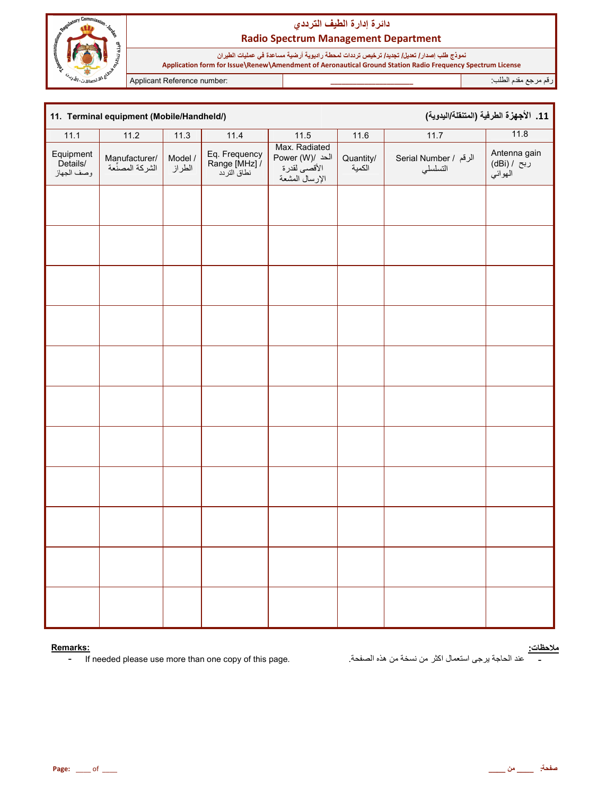

نموذج طلب إصدار/ تعديل/ تجديد/ ترخيص ترددات لمحطة راديوية أرضية مساعدة في عمليات الطيران<br>Application form for Issue\Renew\Amendment of Aeronautical Ground Station Radio Frequency Spectrum License

Applicant Reference number:

رقم مرجع مقدم الطلب<del>.</del>

| 11. الأجهزة الطرفية (المتنقلة/اليدوية)<br>11. Terminal equipment (Mobile/Handheld/) |                                  |                   |                                               |                                                                    |                          |                                   |                                         |
|-------------------------------------------------------------------------------------|----------------------------------|-------------------|-----------------------------------------------|--------------------------------------------------------------------|--------------------------|-----------------------------------|-----------------------------------------|
| 11.1                                                                                | 11.2                             | 11.3              | 11.4                                          | 11.5                                                               | 11.6                     | 11.7                              | 11.8                                    |
| Equipment<br>Details/<br>وصف الجهاز                                                 | /Manufacturer<br>الشركة المصنًعة | Model /<br>الطراز | Eq. Frequency<br>Range [MHz] /<br>نطاق التردد | Max. Radiated<br>Power (W)/ الحد<br>الأقصى لقدرة<br>الإرسال المشعة | Quantity/<br>.<br>الكمية | الرقم / Serial Number<br>التسلسلي | Antenna gain<br>ربح / (dBi)<br>المهوائي |
|                                                                                     |                                  |                   |                                               |                                                                    |                          |                                   |                                         |
|                                                                                     |                                  |                   |                                               |                                                                    |                          |                                   |                                         |
|                                                                                     |                                  |                   |                                               |                                                                    |                          |                                   |                                         |
|                                                                                     |                                  |                   |                                               |                                                                    |                          |                                   |                                         |
|                                                                                     |                                  |                   |                                               |                                                                    |                          |                                   |                                         |
|                                                                                     |                                  |                   |                                               |                                                                    |                          |                                   |                                         |
|                                                                                     |                                  |                   |                                               |                                                                    |                          |                                   |                                         |
|                                                                                     |                                  |                   |                                               |                                                                    |                          |                                   |                                         |
|                                                                                     |                                  |                   |                                               |                                                                    |                          |                                   |                                         |
|                                                                                     |                                  |                   |                                               |                                                                    |                          |                                   |                                         |
|                                                                                     |                                  |                   |                                               |                                                                    |                          |                                   |                                         |

#### Remarks:

If needed please use more than one copy of this page.  $\blacksquare$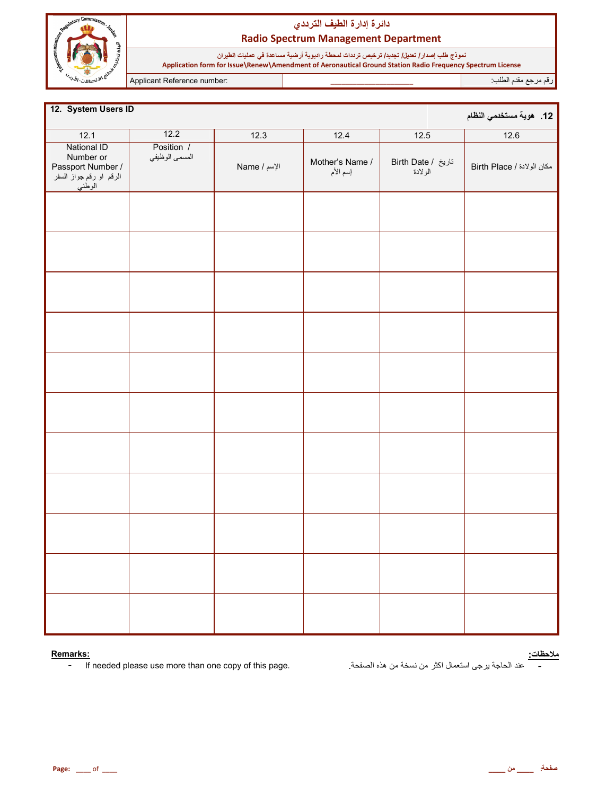

نموذج طلب إصدار/ تعديل/ تجديد/ ترخيص ترددات لمحطة راديوية أرضية مساعدة في عمليات الطيران<br>Application form for Issue\Renew\Amendment of Aeronautical Ground Station Radio Frequency Spectrum License

Applicant Reference number:

رقم مرجع مقدم الطلب

| 12. System Users ID                                                                |                              |              |                             |                               | 12.   هوية مستخدمي النظام  |
|------------------------------------------------------------------------------------|------------------------------|--------------|-----------------------------|-------------------------------|----------------------------|
| 12.1                                                                               | $\overline{12.2}$            | 12.3         | 12.4                        | 12.5                          | 12.6                       |
| National ID<br>Number or<br>/ Passport Number<br>الرقم او رقم جواز السفر<br>الوطني | Position /<br>المسمى الوظيفي | Name / الإسم | Mother's Name /<br>إسم الأم | تاريخ / Birth Date<br>الولادة | مكان الولادة / Birth Place |
|                                                                                    |                              |              |                             |                               |                            |
|                                                                                    |                              |              |                             |                               |                            |
|                                                                                    |                              |              |                             |                               |                            |
|                                                                                    |                              |              |                             |                               |                            |
|                                                                                    |                              |              |                             |                               |                            |
|                                                                                    |                              |              |                             |                               |                            |
|                                                                                    |                              |              |                             |                               |                            |
|                                                                                    |                              |              |                             |                               |                            |
|                                                                                    |                              |              |                             |                               |                            |
|                                                                                    |                              |              |                             |                               |                            |
|                                                                                    |                              |              |                             |                               |                            |

#### Remarks:

If needed please use more than one copy of this page.  $\mathbb{L}^+$ 

<mark>ملاحظات:</mark><br>\_\_\_\_\_ عند الحاجة يرجى استعمال اكثر من نسخة من هذه الصفحة.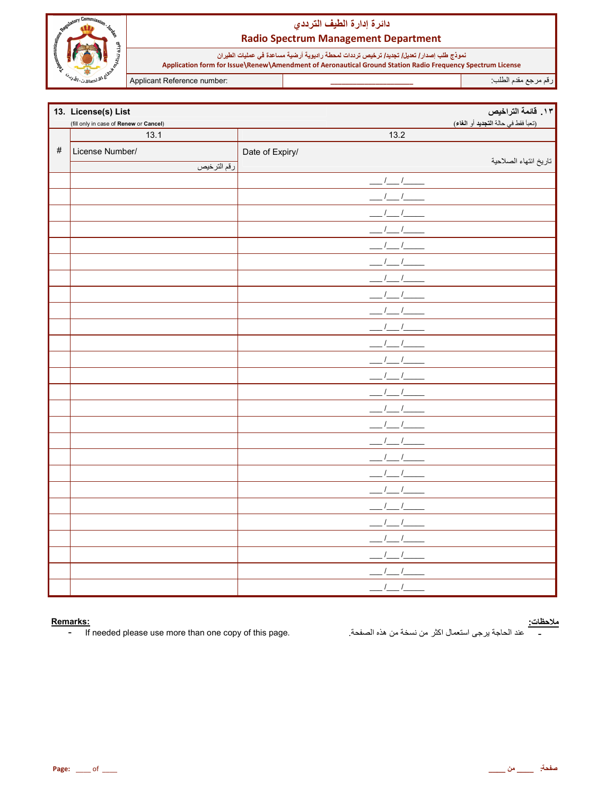

نموذج طلب إصدار/ تعديل/ تجديد/ ترخيص ترددات لمحطة راديوية أرضية مساعدة في عمليات الطيران<br>Application form for Issue\Renew\Amendment of Aeronautical Ground Station Radio Frequency Spectrum License

Applicant Reference number:

رقم مرجع مقدم الطلب<del>.</del>

|      | 13. License(s) List                    |                          | 1٣. قائمة التراخيص                  |
|------|----------------------------------------|--------------------------|-------------------------------------|
|      | (fill only in case of Renew or Cancel) |                          | (تعبأ فقط في حالة التجديد أو الغاء) |
|      | 13.1                                   | 13.2                     |                                     |
| $\#$ | License Number/                        | Date of Expiry/          |                                     |
|      | رقم الترخيص                            |                          | تاريخ انتهاء الصلاحية               |
|      |                                        | $1 - 1$                  |                                     |
|      |                                        |                          |                                     |
|      |                                        |                          |                                     |
|      |                                        |                          |                                     |
|      |                                        |                          |                                     |
|      |                                        |                          |                                     |
|      |                                        |                          |                                     |
|      |                                        |                          |                                     |
|      |                                        |                          |                                     |
|      |                                        |                          |                                     |
|      |                                        |                          |                                     |
|      |                                        |                          |                                     |
|      |                                        |                          |                                     |
|      |                                        |                          |                                     |
|      |                                        |                          |                                     |
|      |                                        |                          |                                     |
|      |                                        |                          |                                     |
|      |                                        |                          |                                     |
|      |                                        |                          |                                     |
|      |                                        |                          |                                     |
|      |                                        |                          |                                     |
|      |                                        |                          |                                     |
|      |                                        |                          |                                     |
|      |                                        |                          |                                     |
|      |                                        |                          |                                     |
|      |                                        | $\sqrt{2}$<br>$\sqrt{ }$ |                                     |

#### Remarks:

If needed please use more than one copy of this page.  $\pm$  .

<mark>ملاحظات:</mark><br>\_\_\_\_\_\_ عند الحاجة يرجى استعمال اكثر من نسخة من هذه الصفحة<sub>.</sub>